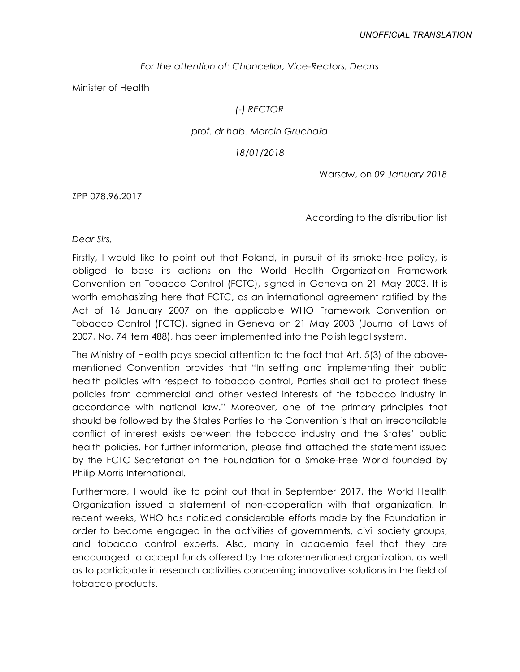### *For the attention of: Chancellor, Vice-Rectors, Deans*

Minister of Health

### *(-) RECTOR*

#### *prof. dr hab. Marcin Gruchała*

#### *18/01/2018*

Warsaw, on *09 January 2018*

ZPP 078.96.2017

According to the distribution list

*Dear Sirs,*

Firstly, I would like to point out that Poland, in pursuit of its smoke-free policy, is obliged to base its actions on the World Health Organization Framework Convention on Tobacco Control (FCTC), signed in Geneva on 21 May 2003. It is worth emphasizing here that FCTC, as an international agreement ratified by the Act of 16 January 2007 on the applicable WHO Framework Convention on Tobacco Control (FCTC), signed in Geneva on 21 May 2003 (Journal of Laws of 2007, No. 74 item 488), has been implemented into the Polish legal system.

The Ministry of Health pays special attention to the fact that Art. 5(3) of the abovementioned Convention provides that "In setting and implementing their public health policies with respect to tobacco control, Parties shall act to protect these policies from commercial and other vested interests of the tobacco industry in accordance with national law." Moreover, one of the primary principles that should be followed by the States Parties to the Convention is that an irreconcilable conflict of interest exists between the tobacco industry and the States' public health policies. For further information, please find attached the statement issued by the FCTC Secretariat on the Foundation for a Smoke-Free World founded by Philip Morris International.

Furthermore, I would like to point out that in September 2017, the World Health Organization issued a statement of non-cooperation with that organization. In recent weeks, WHO has noticed considerable efforts made by the Foundation in order to become engaged in the activities of governments, civil society groups, and tobacco control experts. Also, many in academia feel that they are encouraged to accept funds offered by the aforementioned organization, as well as to participate in research activities concerning innovative solutions in the field of tobacco products.